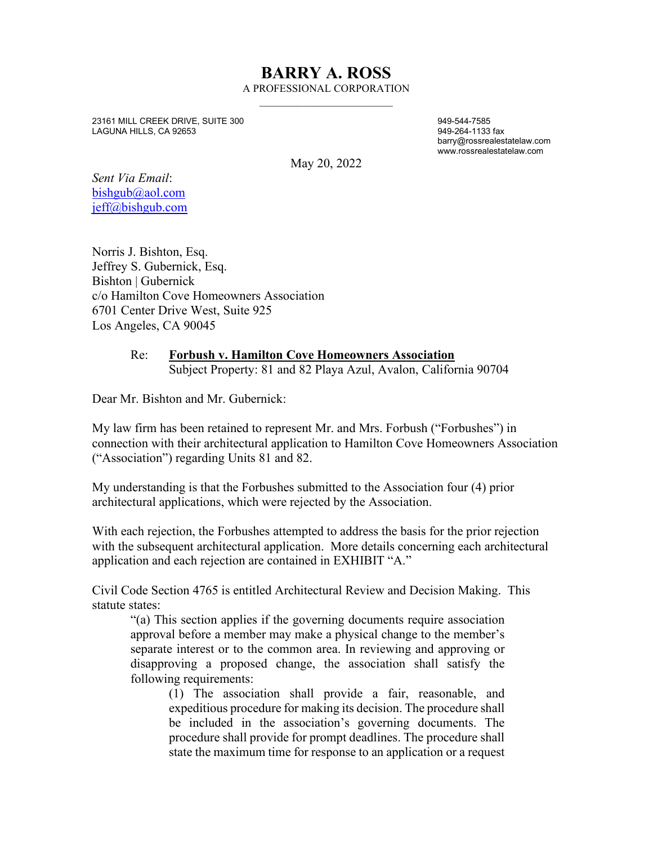## **BARRY A. ROSS** A PROFESSIONAL CORPORATION

 $\overline{\phantom{a}}$  , and the set of the set of the set of the set of the set of the set of the set of the set of the set of the set of the set of the set of the set of the set of the set of the set of the set of the set of the s

23161 MILL CREEK DRIVE, SUITE 300 949-544-7585 LAGUNA HILLS, CA 92653

 barry@rossrealestatelaw.com www.rossrealestatelaw.com

May 20, 2022

*Sent Via Email*: [bishgub@aol.com](mailto:bishgub@aol.com) [jeff@bishgub.com](mailto:jeff@bishgub.com)

Norris J. Bishton, Esq. Jeffrey S. Gubernick, Esq. Bishton | Gubernick c/o Hamilton Cove Homeowners Association 6701 Center Drive West, Suite 925 Los Angeles, CA 90045

## Re: **Forbush v. Hamilton Cove Homeowners Association** Subject Property: 81 and 82 Playa Azul, Avalon, California 90704

Dear Mr. Bishton and Mr. Gubernick:

My law firm has been retained to represent Mr. and Mrs. Forbush ("Forbushes") in connection with their architectural application to Hamilton Cove Homeowners Association ("Association") regarding Units 81 and 82.

My understanding is that the Forbushes submitted to the Association four (4) prior architectural applications, which were rejected by the Association.

With each rejection, the Forbushes attempted to address the basis for the prior rejection with the subsequent architectural application. More details concerning each architectural application and each rejection are contained in EXHIBIT "A."

Civil Code Section 4765 is entitled Architectural Review and Decision Making. This statute states:

"(a) This section applies if the governing documents require association approval before a member may make a physical change to the member's separate interest or to the common area. In reviewing and approving or disapproving a proposed change, the association shall satisfy the following requirements:

(1) The association shall provide a fair, reasonable, and expeditious procedure for making its decision. The procedure shall be included in the association's governing documents. The procedure shall provide for prompt deadlines. The procedure shall state the maximum time for response to an application or a request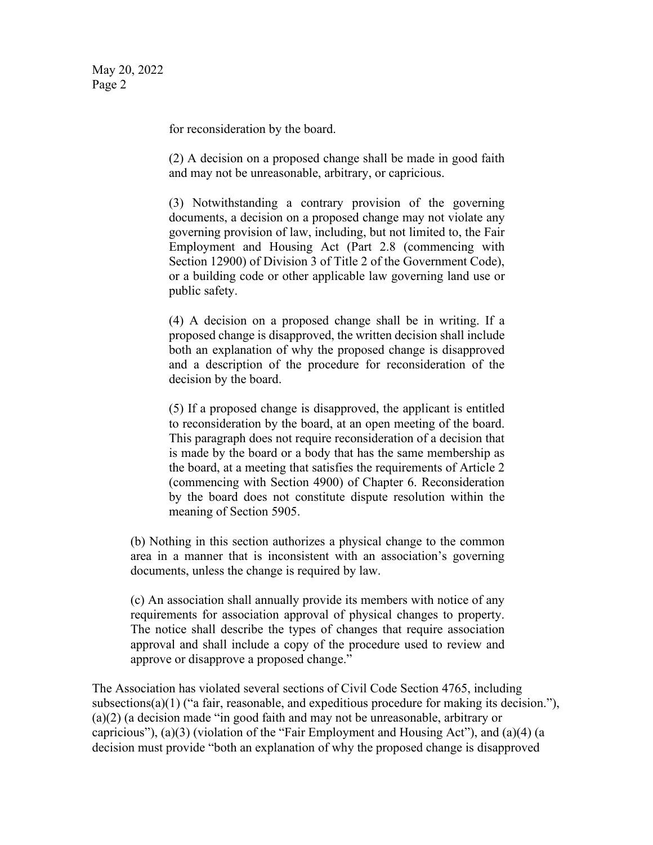for reconsideration by the board.

(2) A decision on a proposed change shall be made in good faith and may not be unreasonable, arbitrary, or capricious.

(3) Notwithstanding a contrary provision of the governing documents, a decision on a proposed change may not violate any governing provision of law, including, but not limited to, the Fair Employment and Housing Act (Part 2.8 (commencing with Section 12900) of Division 3 of Title 2 of the Government Code), or a building code or other applicable law governing land use or public safety.

(4) A decision on a proposed change shall be in writing. If a proposed change is disapproved, the written decision shall include both an explanation of why the proposed change is disapproved and a description of the procedure for reconsideration of the decision by the board.

(5) If a proposed change is disapproved, the applicant is entitled to reconsideration by the board, at an open meeting of the board. This paragraph does not require reconsideration of a decision that is made by the board or a body that has the same membership as the board, at a meeting that satisfies the requirements of Article 2 (commencing with Section 4900) of Chapter 6. Reconsideration by the board does not constitute dispute resolution within the meaning of Section 5905.

(b) Nothing in this section authorizes a physical change to the common area in a manner that is inconsistent with an association's governing documents, unless the change is required by law.

(c) An association shall annually provide its members with notice of any requirements for association approval of physical changes to property. The notice shall describe the types of changes that require association approval and shall include a copy of the procedure used to review and approve or disapprove a proposed change."

The Association has violated several sections of Civil Code Section 4765, including subsections(a)(1) ("a fair, reasonable, and expeditious procedure for making its decision."), (a)(2) (a decision made "in good faith and may not be unreasonable, arbitrary or capricious"), (a)(3) (violation of the "Fair Employment and Housing Act"), and (a)(4) (a decision must provide "both an explanation of why the proposed change is disapproved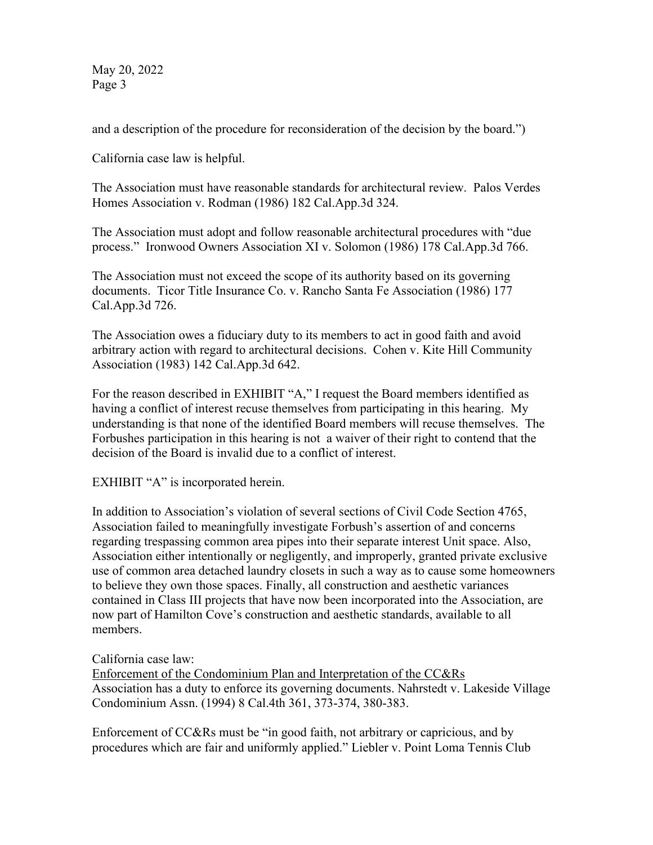May 20, 2022 Page 3

and a description of the procedure for reconsideration of the decision by the board.")

California case law is helpful.

The Association must have reasonable standards for architectural review. Palos Verdes Homes Association v. Rodman (1986) 182 Cal.App.3d 324.

The Association must adopt and follow reasonable architectural procedures with "due process." Ironwood Owners Association XI v. Solomon (1986) 178 Cal.App.3d 766.

The Association must not exceed the scope of its authority based on its governing documents. Ticor Title Insurance Co. v. Rancho Santa Fe Association (1986) 177 Cal.App.3d 726.

The Association owes a fiduciary duty to its members to act in good faith and avoid arbitrary action with regard to architectural decisions. Cohen v. Kite Hill Community Association (1983) 142 Cal.App.3d 642.

For the reason described in EXHIBIT "A," I request the Board members identified as having a conflict of interest recuse themselves from participating in this hearing. My understanding is that none of the identified Board members will recuse themselves. The Forbushes participation in this hearing is not a waiver of their right to contend that the decision of the Board is invalid due to a conflict of interest.

EXHIBIT "A" is incorporated herein.

In addition to Association's violation of several sections of Civil Code Section 4765, Association failed to meaningfully investigate Forbush's assertion of and concerns regarding trespassing common area pipes into their separate interest Unit space. Also, Association either intentionally or negligently, and improperly, granted private exclusive use of common area detached laundry closets in such a way as to cause some homeowners to believe they own those spaces. Finally, all construction and aesthetic variances contained in Class III projects that have now been incorporated into the Association, are now part of Hamilton Cove's construction and aesthetic standards, available to all members.

California case law:

Enforcement of the Condominium Plan and Interpretation of the CC&Rs Association has a duty to enforce its governing documents. Nahrstedt v. Lakeside Village Condominium Assn. (1994) 8 Cal.4th 361, 373-374, 380-383.

Enforcement of CC&Rs must be "in good faith, not arbitrary or capricious, and by procedures which are fair and uniformly applied." Liebler v. Point Loma Tennis Club